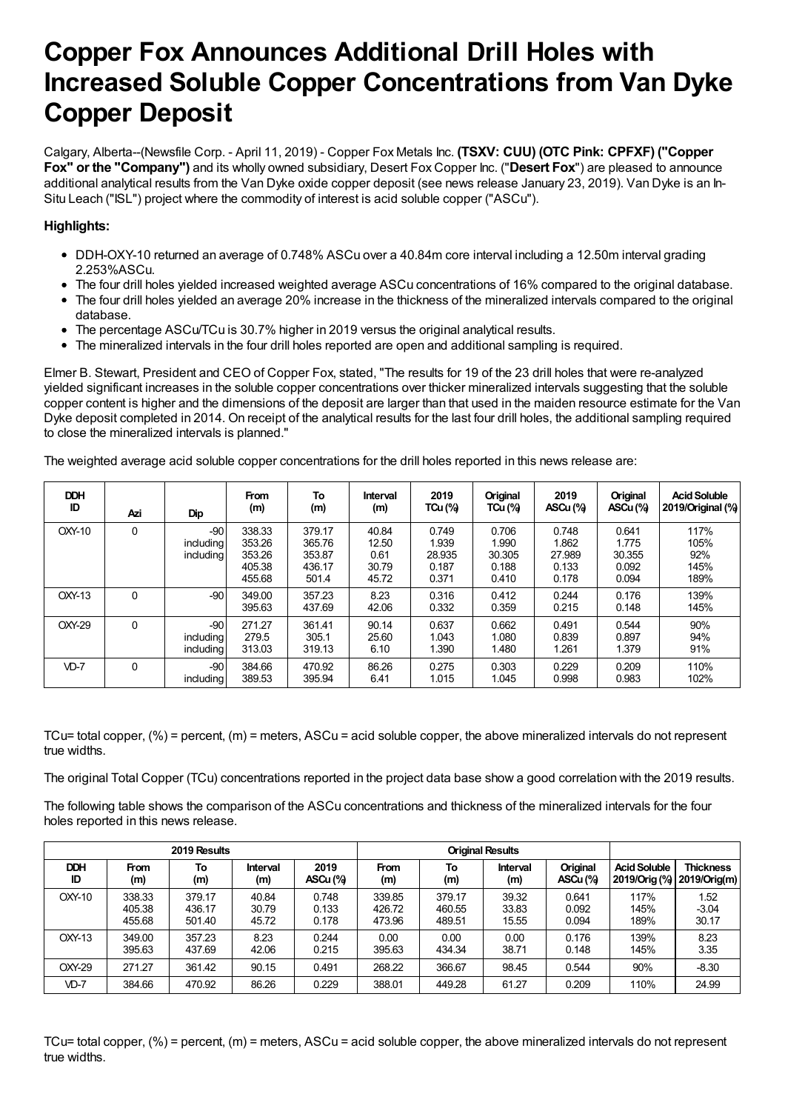# **Copper Fox Announces Additional Drill Holes with Increased Soluble Copper Concentrations from Van Dyke Copper Deposit**

Calgary, Alberta--(Newsfile Corp. - April 11, 2019) - Copper Fox Metals Inc. **(TSXV: CUU) (OTC Pink: CPFXF) ("Copper Fox" or the "Company")** and its wholly owned subsidiary, Desert Fox Copper Inc. ("**Desert Fox**") are pleased to announce additional analytical results from the Van Dyke oxide copper deposit (see news release January 23, 2019). Van Dyke is an In-Situ Leach ("ISL") project where the commodity of interest is acid soluble copper ("ASCu").

## **Highlights:**

- DDH-OXY-10 returned an average of 0.748% ASCu over a 40.84m core interval including a 12.50m interval grading 2.253%ASCu.
- The four drill holes yielded increased weighted average ASCu concentrations of 16% compared to the original database.
- The four drill holes yielded an average 20% increase in the thickness of the mineralized intervals compared to the original database.
- The percentage ASCu/TCu is 30.7% higher in 2019 versus the original analytical results.
- The mineralized intervals in the four drill holes reported are open and additional sampling is required.

Elmer B. Stewart, President and CEO of Copper Fox, stated, "The results for 19 of the 23 drill holes that were re-analyzed yielded significant increases in the soluble copper concentrations over thicker mineralized intervals suggesting that the soluble copper content is higher and the dimensions of the deposit are larger than that used in the maiden resource estimate for the Van Dyke deposit completed in 2014. On receipt of the analytical results for the last four drill holes, the additional sampling required to close the mineralized intervals is planned."

The weighted average acid soluble copper concentrations for the drill holes reported in this news release are:

| <b>DDH</b><br>ID | Azi      | <b>Dip</b>                      | <b>From</b><br>(m)                             | To<br>(m)                                     | Interval<br>(m)                          | 2019<br><b>TCu (%)</b>                     | Original<br><b>TCu (%)</b>                 | 2019<br>ASCu (%)                           | Original<br>ASCu (%)                       | <b>Acid Soluble</b><br>2019/Original (%) |
|------------------|----------|---------------------------------|------------------------------------------------|-----------------------------------------------|------------------------------------------|--------------------------------------------|--------------------------------------------|--------------------------------------------|--------------------------------------------|------------------------------------------|
| OXY-10           | 0        | $-90$<br>including<br>including | 338.33<br>353.26<br>353.26<br>405.38<br>455.68 | 379.17<br>365.76<br>353.87<br>436.17<br>501.4 | 40.84<br>12.50<br>0.61<br>30.79<br>45.72 | 0.749<br>1.939<br>28.935<br>0.187<br>0.371 | 0.706<br>1.990<br>30.305<br>0.188<br>0.410 | 0.748<br>1.862<br>27.989<br>0.133<br>0.178 | 0.641<br>1.775<br>30.355<br>0.092<br>0.094 | 117%<br>105%<br>92%<br>145%<br>189%      |
| OXY-13           | $\Omega$ | $-90$                           | 349.00<br>395.63                               | 357.23<br>437.69                              | 8.23<br>42.06                            | 0.316<br>0.332                             | 0.412<br>0.359                             | 0.244<br>0.215                             | 0.176<br>0.148                             | 139%<br>145%                             |
| OXY-29           | 0        | $-90$<br>including<br>including | 271.27<br>279.5<br>313.03                      | 361.41<br>305.1<br>319.13                     | 90.14<br>25.60<br>6.10                   | 0.637<br>1.043<br>1.390                    | 0.662<br>1.080<br>1.480                    | 0.491<br>0.839<br>1.261                    | 0.544<br>0.897<br>1.379                    | 90%<br>94%<br>91%                        |
| $VD-7$           | 0        | $-90$<br>including              | 384.66<br>389.53                               | 470.92<br>395.94                              | 86.26<br>6.41                            | 0.275<br>1.015                             | 0.303<br>1.045                             | 0.229<br>0.998                             | 0.209<br>0.983                             | 110%<br>102%                             |

TCu= total copper,  $(\%)$  = percent,  $(m)$  = meters, ASCu = acid soluble copper, the above mineralized intervals do not represent true widths.

The original Total Copper (TCu) concentrations reported in the project data base show a good correlation with the 2019 results.

The following table shows the comparison of the ASCu concentrations and thickness of the mineralized intervals for the four holes reported in this news release.

| 2019 Results |             |        |          |          | <b>Original Results</b> |        |          |          |                            |                  |
|--------------|-------------|--------|----------|----------|-------------------------|--------|----------|----------|----------------------------|------------------|
| <b>DDH</b>   | <b>From</b> | To     | Interval | 2019     | <b>From</b>             | То     | Interval | Original | <b>Acid Soluble</b>        | <b>Thickness</b> |
| ID           | (m)         | (m)    | (m)      | ASCu (%) | (m)                     | (m)    | (m)      | ASCu (%) | 2019/Orig (%) 2019/Orig(m) |                  |
| $OXY-10$     | 338.33      | 379.17 | 40.84    | 0.748    | 339.85                  | 379.17 | 39.32    | 0.641    | 117%                       | 1.52             |
|              | 405.38      | 436.17 | 30.79    | 0.133    | 426.72                  | 460.55 | 33.83    | 0.092    | 145%                       | $-3.04$          |
|              | 455.68      | 501.40 | 45.72    | 0.178    | 473.96                  | 489.51 | 15.55    | 0.094    | 189%                       | 30.17            |
| $OXY-13$     | 349.00      | 357.23 | 8.23     | 0.244    | 0.00                    | 0.00   | 0.00     | 0.176    | 139%                       | 8.23             |
|              | 395.63      | 437.69 | 42.06    | 0.215    | 395.63                  | 434.34 | 38.71    | 0.148    | 145%                       | 3.35             |
| OXY-29       | 271.27      | 361.42 | 90.15    | 0.491    | 268.22                  | 366.67 | 98.45    | 0.544    | 90%                        | $-8.30$          |
| $VD-7$       | 384.66      | 470.92 | 86.26    | 0.229    | 388.01                  | 449.28 | 61.27    | 0.209    | 110%                       | 24.99            |

TCu= total copper,  $(\%)$  = percent,  $(m)$  = meters, ASCu = acid soluble copper, the above mineralized intervals do not represent true widths.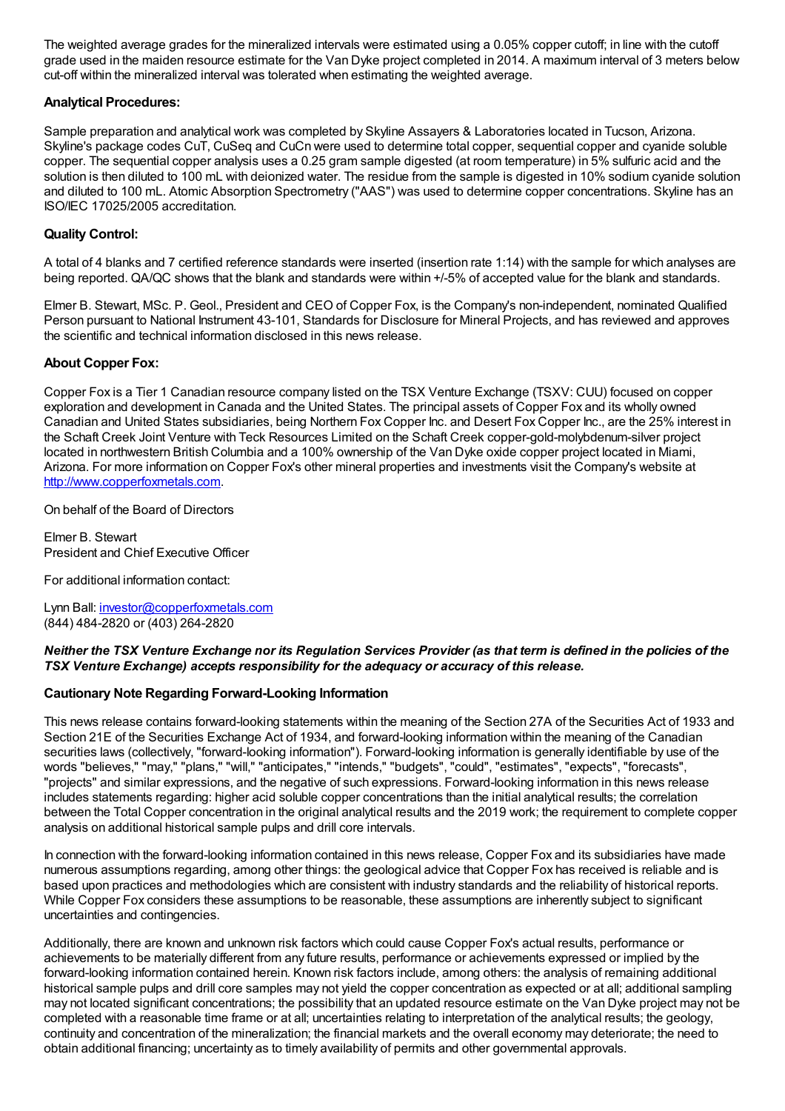The weighted average grades for the mineralized intervals were estimated using a 0.05% copper cutoff; in line with the cutoff grade used in the maiden resource estimate for the Van Dyke project completed in 2014. A maximum interval of 3 meters below cut-off within the mineralized interval was tolerated when estimating the weighted average.

#### **Analytical Procedures:**

Sample preparation and analytical work was completed by Skyline Assayers & Laboratories located in Tucson, Arizona. Skyline's package codes CuT, CuSeq and CuCn were used to determine total copper, sequential copper and cyanide soluble copper. The sequential copper analysis uses a 0.25 gram sample digested (at room temperature) in 5% sulfuric acid and the solution is then diluted to 100 mL with deionized water. The residue from the sample is digested in 10% sodium cyanide solution and diluted to 100 mL. Atomic Absorption Spectrometry ("AAS") was used to determine copper concentrations. Skyline has an ISO/IEC 17025/2005 accreditation.

## **Quality Control:**

A total of 4 blanks and 7 certified reference standards were inserted (insertion rate 1:14) with the sample for which analyses are being reported. QA/QC shows that the blank and standards were within +/-5% of accepted value for the blank and standards.

Elmer B. Stewart, MSc. P. Geol., President and CEO of Copper Fox, is the Company's non-independent, nominated Qualified Person pursuant to National Instrument 43-101, Standards for Disclosure for Mineral Projects, and has reviewed and approves the scientific and technical information disclosed in this news release.

## **About Copper Fox:**

Copper Fox is a Tier 1 Canadian resource company listed on the TSX Venture Exchange (TSXV: CUU) focused on copper exploration and development in Canada and the United States. The principal assets of Copper Fox and its wholly owned Canadian and United States subsidiaries, being Northern Fox Copper Inc. and Desert Fox Copper Inc., are the 25% interest in the Schaft Creek Joint Venture with Teck Resources Limited on the Schaft Creek copper-gold-molybdenum-silver project located in northwestern British Columbia and a 100% ownership of the Van Dyke oxide copper project located in Miami, Arizona. For more information on Copper Fox's other mineral properties and investments visit the Company's website at [http://www.copperfoxmetals.com](https://www.newsfilecorp.com/redirect/VebAUxJG).

On behalf of the Board of Directors

Elmer B. Stewart President and Chief Executive Officer

For additional information contact:

Lynn Ball: [investor@copperfoxmetals.com](mailto:investor@copperfoxmetals.com) (844) 484-2820 or (403) 264-2820

#### Neither the TSX Venture Exchange nor its Regulation Services Provider (as that term is defined in the policies of the *TSX Venture Exchange) accepts responsibility for the adequacy or accuracy of this release.*

#### **Cautionary Note Regarding Forward-Looking Information**

This news release contains forward-looking statements within the meaning of the Section 27A of the Securities Act of 1933 and Section 21E of the Securities Exchange Act of 1934, and forward-looking information within the meaning of the Canadian securities laws (collectively, "forward-looking information"). Forward-looking information is generally identifiable by use of the words "believes," "may," "plans," "will," "anticipates," "intends," "budgets", "could", "estimates", "expects", "forecasts", "projects" and similar expressions, and the negative of such expressions. Forward-looking information in this news release includes statements regarding: higher acid soluble copper concentrations than the initial analytical results; the correlation between the Total Copper concentration in the original analytical results and the 2019 work; the requirement to complete copper analysis on additional historical sample pulps and drill core intervals.

In connection with the forward-looking information contained in this news release, Copper Fox and its subsidiaries have made numerous assumptions regarding, among other things: the geological advice that Copper Fox has received is reliable and is based upon practices and methodologies which are consistent with industry standards and the reliability of historical reports. While Copper Fox considers these assumptions to be reasonable, these assumptions are inherently subject to significant uncertainties and contingencies.

Additionally, there are known and unknown risk factors which could cause Copper Fox's actual results, performance or achievements to be materially different from any future results, performance or achievements expressed or implied by the forward-looking information contained herein. Known risk factors include, among others: the analysis of remaining additional historical sample pulps and drill core samples may not yield the copper concentration as expected or at all; additional sampling may not located significant concentrations; the possibility that an updated resource estimate on the Van Dyke project may not be completed with a reasonable time frame or at all; uncertainties relating to interpretation of the analytical results; the geology, continuity and concentration of the mineralization; the financial markets and the overall economy may deteriorate; the need to obtain additional financing; uncertainty as to timely availability of permits and other governmental approvals.